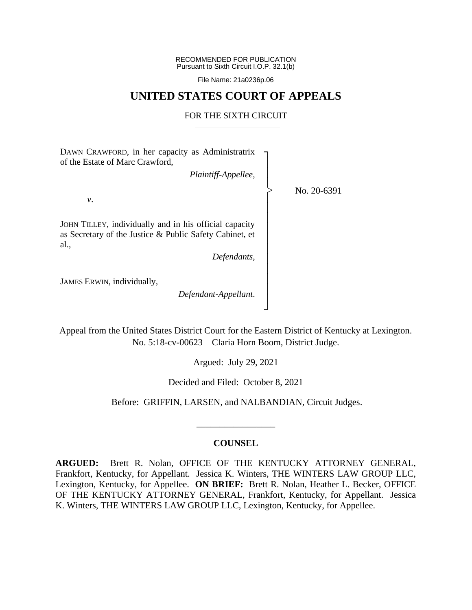RECOMMENDED FOR PUBLICATION Pursuant to Sixth Circuit I.O.P. 32.1(b)

File Name: 21a0236p.06

## **UNITED STATES COURT OF APPEALS**

#### FOR THE SIXTH CIRCUIT

┐ │ │ │ │ │ │ │ │ │ │ │ │ │ │ ┘

|<br>|<br>|

DAWN CRAWFORD, in her capacity as Administratrix of the Estate of Marc Crawford,

*Plaintiff-Appellee*,

*v*.

JOHN TILLEY, individually and in his official capacity as Secretary of the Justice & Public Safety Cabinet, et al.,

*Defendants*,

JAMES ERWIN, individually,

*Defendant-Appellant*.

No. 20-6391

Appeal from the United States District Court for the Eastern District of Kentucky at Lexington. No. 5:18-cv-00623—Claria Horn Boom, District Judge.

Argued: July 29, 2021

Decided and Filed: October 8, 2021

Before: GRIFFIN, LARSEN, and NALBANDIAN, Circuit Judges.

## **COUNSEL**

\_\_\_\_\_\_\_\_\_\_\_\_\_\_\_\_\_

**ARGUED:** Brett R. Nolan, OFFICE OF THE KENTUCKY ATTORNEY GENERAL, Frankfort, Kentucky, for Appellant. Jessica K. Winters, THE WINTERS LAW GROUP LLC, Lexington, Kentucky, for Appellee. **ON BRIEF:** Brett R. Nolan, Heather L. Becker, OFFICE OF THE KENTUCKY ATTORNEY GENERAL, Frankfort, Kentucky, for Appellant. Jessica K. Winters, THE WINTERS LAW GROUP LLC, Lexington, Kentucky, for Appellee.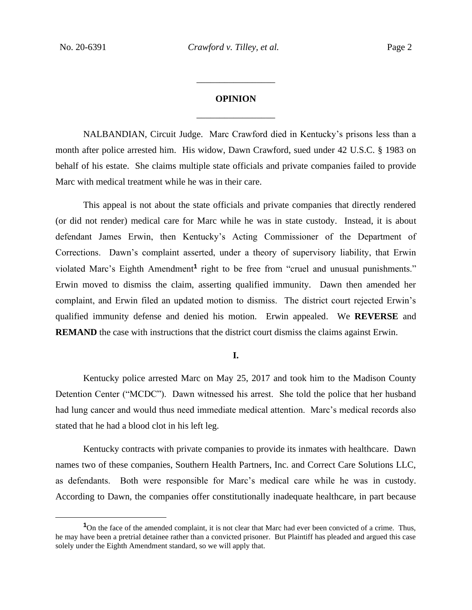# **OPINION** \_\_\_\_\_\_\_\_\_\_\_\_\_\_\_\_\_

\_\_\_\_\_\_\_\_\_\_\_\_\_\_\_\_\_

NALBANDIAN, Circuit Judge. Marc Crawford died in Kentucky's prisons less than a month after police arrested him. His widow, Dawn Crawford, sued under 42 U.S.C. § 1983 on behalf of his estate. She claims multiple state officials and private companies failed to provide Marc with medical treatment while he was in their care.

This appeal is not about the state officials and private companies that directly rendered (or did not render) medical care for Marc while he was in state custody. Instead, it is about defendant James Erwin, then Kentucky's Acting Commissioner of the Department of Corrections. Dawn's complaint asserted, under a theory of supervisory liability, that Erwin violated Marc's Eighth Amendment**<sup>1</sup>** right to be free from "cruel and unusual punishments." Erwin moved to dismiss the claim, asserting qualified immunity. Dawn then amended her complaint, and Erwin filed an updated motion to dismiss. The district court rejected Erwin's qualified immunity defense and denied his motion. Erwin appealed. We **REVERSE** and **REMAND** the case with instructions that the district court dismiss the claims against Erwin.

**I.**

Kentucky police arrested Marc on May 25, 2017 and took him to the Madison County Detention Center ("MCDC"). Dawn witnessed his arrest. She told the police that her husband had lung cancer and would thus need immediate medical attention. Marc's medical records also stated that he had a blood clot in his left leg.

Kentucky contracts with private companies to provide its inmates with healthcare. Dawn names two of these companies, Southern Health Partners, Inc. and Correct Care Solutions LLC, as defendants. Both were responsible for Marc's medical care while he was in custody. According to Dawn, the companies offer constitutionally inadequate healthcare, in part because

<sup>&</sup>lt;sup>1</sup>On the face of the amended complaint, it is not clear that Marc had ever been convicted of a crime. Thus, he may have been a pretrial detainee rather than a convicted prisoner. But Plaintiff has pleaded and argued this case solely under the Eighth Amendment standard, so we will apply that.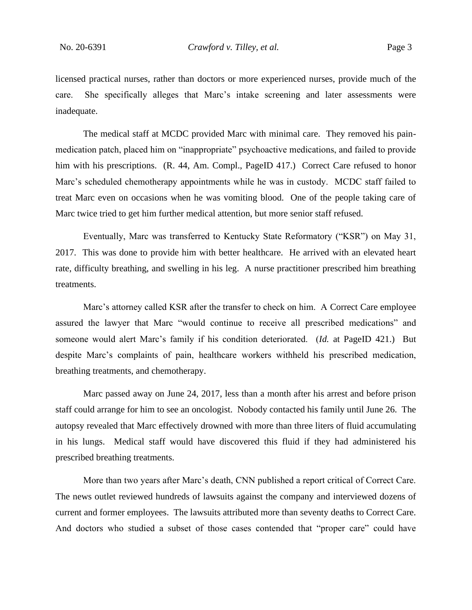licensed practical nurses, rather than doctors or more experienced nurses, provide much of the care. She specifically alleges that Marc's intake screening and later assessments were inadequate.

The medical staff at MCDC provided Marc with minimal care. They removed his painmedication patch, placed him on "inappropriate" psychoactive medications, and failed to provide him with his prescriptions. (R. 44, Am. Compl., PageID 417.) Correct Care refused to honor Marc's scheduled chemotherapy appointments while he was in custody. MCDC staff failed to treat Marc even on occasions when he was vomiting blood. One of the people taking care of Marc twice tried to get him further medical attention, but more senior staff refused.

Eventually, Marc was transferred to Kentucky State Reformatory ("KSR") on May 31, 2017. This was done to provide him with better healthcare. He arrived with an elevated heart rate, difficulty breathing, and swelling in his leg. A nurse practitioner prescribed him breathing treatments.

Marc's attorney called KSR after the transfer to check on him. A Correct Care employee assured the lawyer that Marc "would continue to receive all prescribed medications" and someone would alert Marc's family if his condition deteriorated. (*Id.* at PageID 421.) But despite Marc's complaints of pain, healthcare workers withheld his prescribed medication, breathing treatments, and chemotherapy.

Marc passed away on June 24, 2017, less than a month after his arrest and before prison staff could arrange for him to see an oncologist. Nobody contacted his family until June 26. The autopsy revealed that Marc effectively drowned with more than three liters of fluid accumulating in his lungs. Medical staff would have discovered this fluid if they had administered his prescribed breathing treatments.

More than two years after Marc's death, CNN published a report critical of Correct Care. The news outlet reviewed hundreds of lawsuits against the company and interviewed dozens of current and former employees. The lawsuits attributed more than seventy deaths to Correct Care. And doctors who studied a subset of those cases contended that "proper care" could have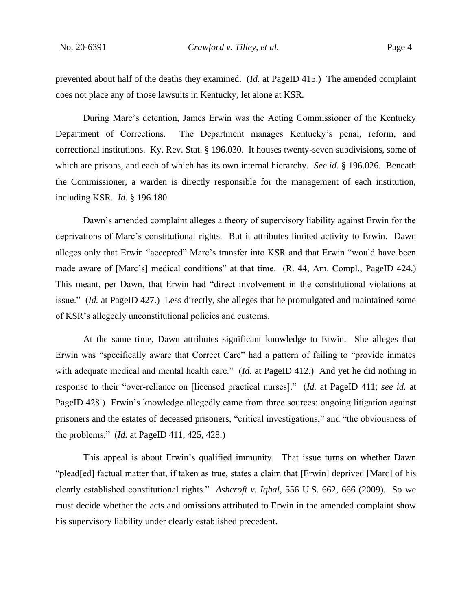prevented about half of the deaths they examined. (*Id.* at PageID 415.) The amended complaint does not place any of those lawsuits in Kentucky, let alone at KSR.

During Marc's detention, James Erwin was the Acting Commissioner of the Kentucky Department of Corrections. The Department manages Kentucky's penal, reform, and correctional institutions. Ky. Rev. Stat. § 196.030. It houses twenty-seven subdivisions, some of which are prisons, and each of which has its own internal hierarchy. *See id.* § 196.026. Beneath the Commissioner, a warden is directly responsible for the management of each institution, including KSR. *Id.* § 196.180.

Dawn's amended complaint alleges a theory of supervisory liability against Erwin for the deprivations of Marc's constitutional rights. But it attributes limited activity to Erwin. Dawn alleges only that Erwin "accepted" Marc's transfer into KSR and that Erwin "would have been made aware of [Marc's] medical conditions" at that time. (R. 44, Am. Compl., PageID 424.) This meant, per Dawn, that Erwin had "direct involvement in the constitutional violations at issue." (*Id.* at PageID 427.) Less directly, she alleges that he promulgated and maintained some of KSR's allegedly unconstitutional policies and customs.

At the same time, Dawn attributes significant knowledge to Erwin. She alleges that Erwin was "specifically aware that Correct Care" had a pattern of failing to "provide inmates with adequate medical and mental health care." (*Id.* at PageID 412.) And yet he did nothing in response to their "over-reliance on [licensed practical nurses]." (*Id.* at PageID 411; *see id.* at PageID 428.) Erwin's knowledge allegedly came from three sources: ongoing litigation against prisoners and the estates of deceased prisoners, "critical investigations," and "the obviousness of the problems." (*Id.* at PageID 411, 425, 428.)

This appeal is about Erwin's qualified immunity. That issue turns on whether Dawn "plead[ed] factual matter that, if taken as true, states a claim that [Erwin] deprived [Marc] of his clearly established constitutional rights." *Ashcroft v. Iqbal*, 556 U.S. 662, 666 (2009). So we must decide whether the acts and omissions attributed to Erwin in the amended complaint show his supervisory liability under clearly established precedent.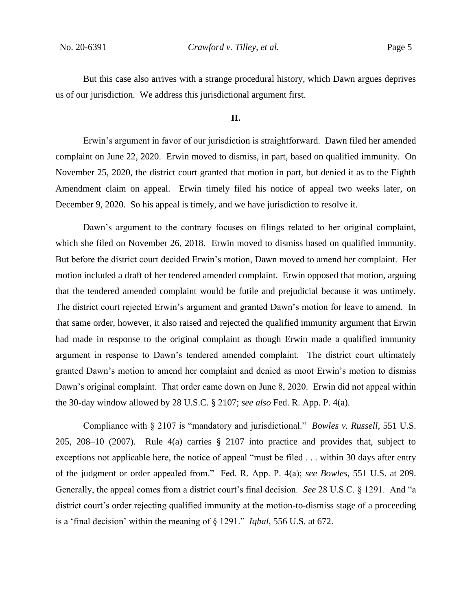But this case also arrives with a strange procedural history, which Dawn argues deprives us of our jurisdiction. We address this jurisdictional argument first.

#### **II.**

Erwin's argument in favor of our jurisdiction is straightforward. Dawn filed her amended complaint on June 22, 2020. Erwin moved to dismiss, in part, based on qualified immunity. On November 25, 2020, the district court granted that motion in part, but denied it as to the Eighth Amendment claim on appeal. Erwin timely filed his notice of appeal two weeks later, on December 9, 2020. So his appeal is timely, and we have jurisdiction to resolve it.

Dawn's argument to the contrary focuses on filings related to her original complaint, which she filed on November 26, 2018. Erwin moved to dismiss based on qualified immunity. But before the district court decided Erwin's motion, Dawn moved to amend her complaint. Her motion included a draft of her tendered amended complaint. Erwin opposed that motion, arguing that the tendered amended complaint would be futile and prejudicial because it was untimely. The district court rejected Erwin's argument and granted Dawn's motion for leave to amend. In that same order, however, it also raised and rejected the qualified immunity argument that Erwin had made in response to the original complaint as though Erwin made a qualified immunity argument in response to Dawn's tendered amended complaint. The district court ultimately granted Dawn's motion to amend her complaint and denied as moot Erwin's motion to dismiss Dawn's original complaint. That order came down on June 8, 2020. Erwin did not appeal within the 30-day window allowed by 28 U.S.C. § 2107; *see also* Fed. R. App. P. 4(a).

Compliance with § 2107 is "mandatory and jurisdictional." *Bowles v. Russell*, 551 U.S. 205, 208–10 (2007). Rule 4(a) carries § 2107 into practice and provides that, subject to exceptions not applicable here, the notice of appeal "must be filed . . . within 30 days after entry of the judgment or order appealed from." Fed. R. App. P. 4(a); *see Bowles*, 551 U.S. at 209. Generally, the appeal comes from a district court's final decision. *See* 28 U.S.C. § 1291. And "a district court's order rejecting qualified immunity at the motion-to-dismiss stage of a proceeding is a 'final decision' within the meaning of § 1291." *Iqbal*, 556 U.S. at 672.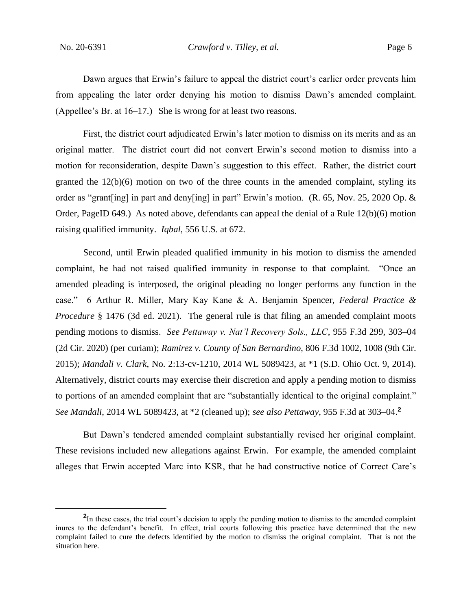Dawn argues that Erwin's failure to appeal the district court's earlier order prevents him from appealing the later order denying his motion to dismiss Dawn's amended complaint. (Appellee's Br. at 16–17.) She is wrong for at least two reasons.

First, the district court adjudicated Erwin's later motion to dismiss on its merits and as an original matter. The district court did not convert Erwin's second motion to dismiss into a motion for reconsideration, despite Dawn's suggestion to this effect. Rather, the district court granted the 12(b)(6) motion on two of the three counts in the amended complaint, styling its order as "grant[ing] in part and deny[ing] in part" Erwin's motion. (R. 65, Nov. 25, 2020 Op. & Order, PageID 649.) As noted above, defendants can appeal the denial of a Rule 12(b)(6) motion raising qualified immunity. *Iqbal*, 556 U.S. at 672.

Second, until Erwin pleaded qualified immunity in his motion to dismiss the amended complaint, he had not raised qualified immunity in response to that complaint. "Once an amended pleading is interposed, the original pleading no longer performs any function in the case." 6 Arthur R. Miller, Mary Kay Kane & A. Benjamin Spencer, *Federal Practice & Procedure* § 1476 (3d ed. 2021). The general rule is that filing an amended complaint moots pending motions to dismiss. *See Pettaway v. Nat'l Recovery Sols., LLC*, 955 F.3d 299, 303–04 (2d Cir. 2020) (per curiam); *Ramirez v. County of San Bernardino*, 806 F.3d 1002, 1008 (9th Cir. 2015); *Mandali v. Clark*, No. 2:13-cv-1210, 2014 WL 5089423, at \*1 (S.D. Ohio Oct. 9, 2014). Alternatively, district courts may exercise their discretion and apply a pending motion to dismiss to portions of an amended complaint that are "substantially identical to the original complaint." *See Mandali*, 2014 WL 5089423, at \*2 (cleaned up); *see also Pettaway*, 955 F.3d at 303–04.**<sup>2</sup>**

But Dawn's tendered amended complaint substantially revised her original complaint. These revisions included new allegations against Erwin. For example, the amended complaint alleges that Erwin accepted Marc into KSR, that he had constructive notice of Correct Care's

<sup>&</sup>lt;sup>2</sup>In these cases, the trial court's decision to apply the pending motion to dismiss to the amended complaint inures to the defendant's benefit. In effect, trial courts following this practice have determined that the new complaint failed to cure the defects identified by the motion to dismiss the original complaint. That is not the situation here.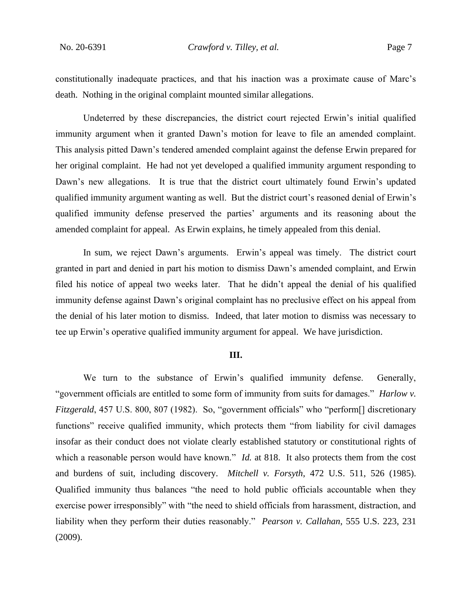constitutionally inadequate practices, and that his inaction was a proximate cause of Marc's death. Nothing in the original complaint mounted similar allegations.

Undeterred by these discrepancies, the district court rejected Erwin's initial qualified immunity argument when it granted Dawn's motion for leave to file an amended complaint. This analysis pitted Dawn's tendered amended complaint against the defense Erwin prepared for her original complaint. He had not yet developed a qualified immunity argument responding to Dawn's new allegations. It is true that the district court ultimately found Erwin's updated qualified immunity argument wanting as well. But the district court's reasoned denial of Erwin's qualified immunity defense preserved the parties' arguments and its reasoning about the amended complaint for appeal. As Erwin explains, he timely appealed from this denial.

In sum, we reject Dawn's arguments. Erwin's appeal was timely. The district court granted in part and denied in part his motion to dismiss Dawn's amended complaint, and Erwin filed his notice of appeal two weeks later. That he didn't appeal the denial of his qualified immunity defense against Dawn's original complaint has no preclusive effect on his appeal from the denial of his later motion to dismiss. Indeed, that later motion to dismiss was necessary to tee up Erwin's operative qualified immunity argument for appeal. We have jurisdiction.

#### **III.**

We turn to the substance of Erwin's qualified immunity defense. Generally, "government officials are entitled to some form of immunity from suits for damages." *Harlow v. Fitzgerald*, 457 U.S. 800, 807 (1982). So, "government officials" who "perform<sup>[]</sup> discretionary functions" receive qualified immunity, which protects them "from liability for civil damages insofar as their conduct does not violate clearly established statutory or constitutional rights of which a reasonable person would have known." *Id.* at 818. It also protects them from the cost and burdens of suit, including discovery. *Mitchell v. Forsyth*, 472 U.S. 511, 526 (1985). Qualified immunity thus balances "the need to hold public officials accountable when they exercise power irresponsibly" with "the need to shield officials from harassment, distraction, and liability when they perform their duties reasonably." *Pearson v. Callahan*, 555 U.S. 223, 231 (2009).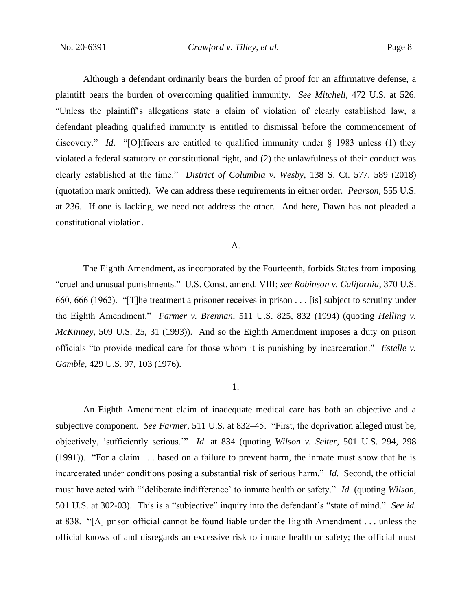Although a defendant ordinarily bears the burden of proof for an affirmative defense, a plaintiff bears the burden of overcoming qualified immunity. *See Mitchell*, 472 U.S. at 526. "Unless the plaintiff's allegations state a claim of violation of clearly established law, a defendant pleading qualified immunity is entitled to dismissal before the commencement of discovery." *Id.* "[O]fficers are entitled to qualified immunity under § 1983 unless (1) they violated a federal statutory or constitutional right, and (2) the unlawfulness of their conduct was clearly established at the time." *District of Columbia v. Wesby*, 138 S. Ct. 577, 589 (2018) (quotation mark omitted). We can address these requirements in either order. *Pearson*, 555 U.S. at 236. If one is lacking, we need not address the other. And here, Dawn has not pleaded a constitutional violation.

## A.

The Eighth Amendment, as incorporated by the Fourteenth, forbids States from imposing "cruel and unusual punishments." U.S. Const. amend. VIII; *see Robinson v. California*, 370 U.S. 660, 666 (1962). "[T]he treatment a prisoner receives in prison . . . [is] subject to scrutiny under the Eighth Amendment." *Farmer v. Brennan*, 511 U.S. 825, 832 (1994) (quoting *Helling v. McKinney*, 509 U.S. 25, 31 (1993)). And so the Eighth Amendment imposes a duty on prison officials "to provide medical care for those whom it is punishing by incarceration." *Estelle v. Gamble*, 429 U.S. 97, 103 (1976).

## 1.

An Eighth Amendment claim of inadequate medical care has both an objective and a subjective component. *See Farmer*, 511 U.S. at 832–45. "First, the deprivation alleged must be, objectively, 'sufficiently serious.'" *Id.* at 834 (quoting *Wilson v. Seiter*, 501 U.S. 294, 298 (1991)). "For a claim . . . based on a failure to prevent harm, the inmate must show that he is incarcerated under conditions posing a substantial risk of serious harm." *Id.* Second, the official must have acted with "'deliberate indifference' to inmate health or safety." *Id.* (quoting *Wilson*, 501 U.S. at 302-03). This is a "subjective" inquiry into the defendant's "state of mind." *See id.* at 838. "[A] prison official cannot be found liable under the Eighth Amendment . . . unless the official knows of and disregards an excessive risk to inmate health or safety; the official must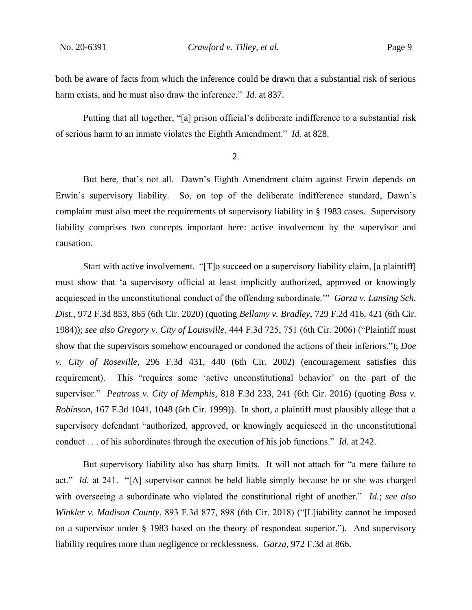both be aware of facts from which the inference could be drawn that a substantial risk of serious harm exists, and he must also draw the inference." *Id.* at 837.

Putting that all together, "[a] prison official's deliberate indifference to a substantial risk of serious harm to an inmate violates the Eighth Amendment." *Id.* at 828.

2.

But here, that's not all. Dawn's Eighth Amendment claim against Erwin depends on Erwin's supervisory liability. So, on top of the deliberate indifference standard, Dawn's complaint must also meet the requirements of supervisory liability in § 1983 cases. Supervisory liability comprises two concepts important here: active involvement by the supervisor and causation.

Start with active involvement. "[T]o succeed on a supervisory liability claim, [a plaintiff] must show that 'a supervisory official at least implicitly authorized, approved or knowingly acquiesced in the unconstitutional conduct of the offending subordinate.'" *Garza v. Lansing Sch. Dist.*, 972 F.3d 853, 865 (6th Cir. 2020) (quoting *Bellamy v. Bradley*, 729 F.2d 416, 421 (6th Cir. 1984)); *see also Gregory v. City of Louisville*, 444 F.3d 725, 751 (6th Cir. 2006) ("Plaintiff must show that the supervisors somehow encouraged or condoned the actions of their inferiors."); *Doe v. City of Roseville*, 296 F.3d 431, 440 (6th Cir. 2002) (encouragement satisfies this requirement). This "requires some 'active unconstitutional behavior' on the part of the supervisor." *Peatross v. City of Memphis*, 818 F.3d 233, 241 (6th Cir. 2016) (quoting *Bass v. Robinson*, 167 F.3d 1041, 1048 (6th Cir. 1999)). In short, a plaintiff must plausibly allege that a supervisory defendant "authorized, approved, or knowingly acquiesced in the unconstitutional conduct . . . of his subordinates through the execution of his job functions." *Id.* at 242.

But supervisory liability also has sharp limits. It will not attach for "a mere failure to act." *Id.* at 241. "[A] supervisor cannot be held liable simply because he or she was charged with overseeing a subordinate who violated the constitutional right of another." *Id.*; *see also Winkler v. Madison County*, 893 F.3d 877, 898 (6th Cir. 2018) ("[L]iability cannot be imposed on a supervisor under § 1983 based on the theory of respondeat superior."). And supervisory liability requires more than negligence or recklessness. *Garza*, 972 F.3d at 866.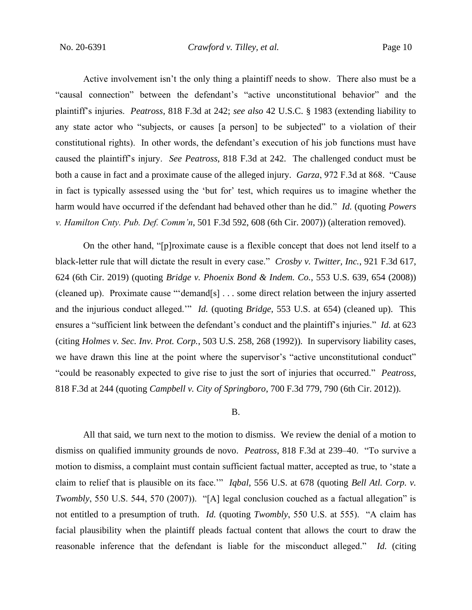Active involvement isn't the only thing a plaintiff needs to show. There also must be a "causal connection" between the defendant's "active unconstitutional behavior" and the plaintiff's injuries. *Peatross*, 818 F.3d at 242; *see also* 42 U.S.C. § 1983 (extending liability to any state actor who "subjects, or causes [a person] to be subjected" to a violation of their constitutional rights). In other words, the defendant's execution of his job functions must have caused the plaintiff's injury. *See Peatross*, 818 F.3d at 242. The challenged conduct must be both a cause in fact and a proximate cause of the alleged injury. *Garza*, 972 F.3d at 868. "Cause in fact is typically assessed using the 'but for' test, which requires us to imagine whether the harm would have occurred if the defendant had behaved other than he did." *Id.* (quoting *Powers v. Hamilton Cnty. Pub. Def. Comm'n*, 501 F.3d 592, 608 (6th Cir. 2007)) (alteration removed).

On the other hand, "[p]roximate cause is a flexible concept that does not lend itself to a black-letter rule that will dictate the result in every case." *Crosby v. Twitter, Inc.*, 921 F.3d 617, 624 (6th Cir. 2019) (quoting *Bridge v. Phoenix Bond & Indem. Co.*, 553 U.S. 639, 654 (2008)) (cleaned up). Proximate cause "'demand[s] . . . some direct relation between the injury asserted and the injurious conduct alleged.'" *Id.* (quoting *Bridge*, 553 U.S. at 654) (cleaned up). This ensures a "sufficient link between the defendant's conduct and the plaintiff's injuries." *Id.* at 623 (citing *Holmes v. Sec. Inv. Prot. Corp.*, 503 U.S. 258, 268 (1992)). In supervisory liability cases, we have drawn this line at the point where the supervisor's "active unconstitutional conduct" "could be reasonably expected to give rise to just the sort of injuries that occurred." *Peatross*, 818 F.3d at 244 (quoting *Campbell v. City of Springboro*, 700 F.3d 779, 790 (6th Cir. 2012)).

#### B.

All that said, we turn next to the motion to dismiss. We review the denial of a motion to dismiss on qualified immunity grounds de novo. *Peatross*, 818 F.3d at 239–40. "To survive a motion to dismiss, a complaint must contain sufficient factual matter, accepted as true, to 'state a claim to relief that is plausible on its face.'" *Iqbal*, 556 U.S. at 678 (quoting *Bell Atl. Corp. v. Twombly*, 550 U.S. 544, 570 (2007)). "[A] legal conclusion couched as a factual allegation" is not entitled to a presumption of truth. *Id.* (quoting *Twombly*, 550 U.S. at 555). "A claim has facial plausibility when the plaintiff pleads factual content that allows the court to draw the reasonable inference that the defendant is liable for the misconduct alleged." *Id.* (citing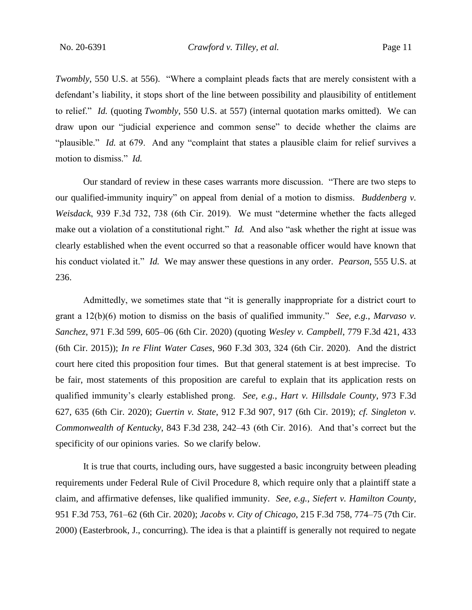*Twombly*, 550 U.S. at 556). "Where a complaint pleads facts that are merely consistent with a defendant's liability, it stops short of the line between possibility and plausibility of entitlement to relief." *Id.* (quoting *Twombly*, 550 U.S. at 557) (internal quotation marks omitted). We can draw upon our "judicial experience and common sense" to decide whether the claims are "plausible." *Id.* at 679. And any "complaint that states a plausible claim for relief survives a motion to dismiss." *Id.*

Our standard of review in these cases warrants more discussion. "There are two steps to our qualified-immunity inquiry" on appeal from denial of a motion to dismiss. *Buddenberg v. Weisdack*, 939 F.3d 732, 738 (6th Cir. 2019). We must "determine whether the facts alleged make out a violation of a constitutional right." *Id.* And also "ask whether the right at issue was clearly established when the event occurred so that a reasonable officer would have known that his conduct violated it." *Id.* We may answer these questions in any order. *Pearson*, 555 U.S. at 236.

Admittedly, we sometimes state that "it is generally inappropriate for a district court to grant a 12(b)(6) motion to dismiss on the basis of qualified immunity." *See, e.g.*, *Marvaso v. Sanchez*, 971 F.3d 599, 605–06 (6th Cir. 2020) (quoting *Wesley v. Campbell*, 779 F.3d 421, 433 (6th Cir. 2015)); *In re Flint Water Cases*, 960 F.3d 303, 324 (6th Cir. 2020). And the district court here cited this proposition four times. But that general statement is at best imprecise. To be fair, most statements of this proposition are careful to explain that its application rests on qualified immunity's clearly established prong. *See, e.g.*, *Hart v. Hillsdale County*, 973 F.3d 627, 635 (6th Cir. 2020); *Guertin v. State*, 912 F.3d 907, 917 (6th Cir. 2019); *cf. Singleton v. Commonwealth of Kentucky*, 843 F.3d 238, 242–43 (6th Cir. 2016). And that's correct but the specificity of our opinions varies. So we clarify below.

It is true that courts, including ours, have suggested a basic incongruity between pleading requirements under Federal Rule of Civil Procedure 8, which require only that a plaintiff state a claim, and affirmative defenses, like qualified immunity. *See, e.g.*, *Siefert v. Hamilton County*, 951 F.3d 753, 761–62 (6th Cir. 2020); *Jacobs v. City of Chicago*, 215 F.3d 758, 774–75 (7th Cir. 2000) (Easterbrook, J., concurring). The idea is that a plaintiff is generally not required to negate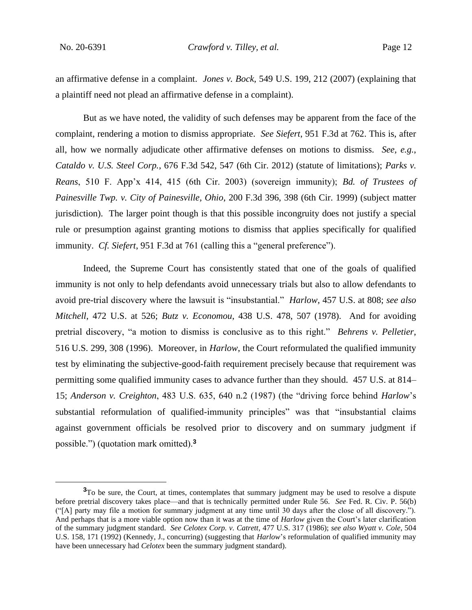an affirmative defense in a complaint. *Jones v. Bock*, 549 U.S. 199, 212 (2007) (explaining that a plaintiff need not plead an affirmative defense in a complaint).

But as we have noted, the validity of such defenses may be apparent from the face of the complaint, rendering a motion to dismiss appropriate. *See Siefert*, 951 F.3d at 762. This is, after all, how we normally adjudicate other affirmative defenses on motions to dismiss. *See, e.g.*, *Cataldo v. U.S. Steel Corp.*, 676 F.3d 542, 547 (6th Cir. 2012) (statute of limitations); *Parks v. Reans*, 510 F. App'x 414, 415 (6th Cir. 2003) (sovereign immunity); *Bd. of Trustees of Painesville Twp. v. City of Painesville, Ohio*, 200 F.3d 396, 398 (6th Cir. 1999) (subject matter jurisdiction). The larger point though is that this possible incongruity does not justify a special rule or presumption against granting motions to dismiss that applies specifically for qualified immunity. *Cf. Siefert*, 951 F.3d at 761 (calling this a "general preference").

Indeed, the Supreme Court has consistently stated that one of the goals of qualified immunity is not only to help defendants avoid unnecessary trials but also to allow defendants to avoid pre-trial discovery where the lawsuit is "insubstantial." *Harlow*, 457 U.S. at 808; *see also Mitchell*, 472 U.S. at 526; *Butz v. Economou*, 438 U.S. 478, 507 (1978). And for avoiding pretrial discovery, "a motion to dismiss is conclusive as to this right." *Behrens v. Pelletier*, 516 U.S. 299, 308 (1996). Moreover, in *Harlow*, the Court reformulated the qualified immunity test by eliminating the subjective-good-faith requirement precisely because that requirement was permitting some qualified immunity cases to advance further than they should. 457 U.S. at 814– 15; *Anderson v. Creighton*, 483 U.S. 635, 640 n.2 (1987) (the "driving force behind *Harlow*'s substantial reformulation of qualified-immunity principles" was that "insubstantial claims against government officials be resolved prior to discovery and on summary judgment if possible.") (quotation mark omitted).**<sup>3</sup>**

<sup>&</sup>lt;sup>3</sup>To be sure, the Court, at times, contemplates that summary judgment may be used to resolve a dispute before pretrial discovery takes place—and that is technically permitted under Rule 56. *See* Fed. R. Civ. P. 56(b) ("[A] party may file a motion for summary judgment at any time until 30 days after the close of all discovery."). And perhaps that is a more viable option now than it was at the time of *Harlow* given the Court's later clarification of the summary judgment standard. *See Celotex Corp. v. Catrett*, 477 U.S. 317 (1986); *see also Wyatt v. Cole*, 504 U.S. 158, 171 (1992) (Kennedy, J., concurring) (suggesting that *Harlow*'s reformulation of qualified immunity may have been unnecessary had *Celotex* been the summary judgment standard).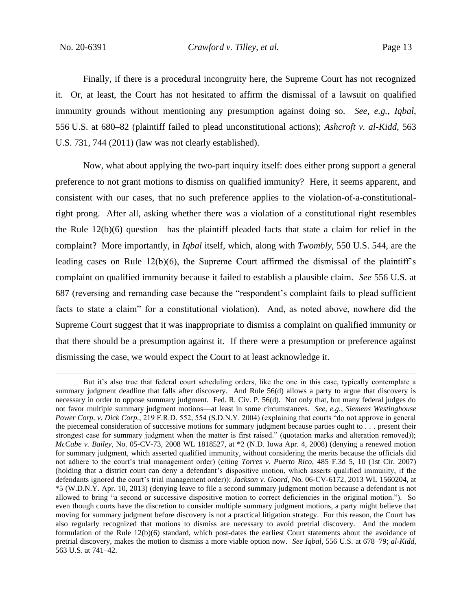Finally, if there is a procedural incongruity here, the Supreme Court has not recognized it. Or, at least, the Court has not hesitated to affirm the dismissal of a lawsuit on qualified immunity grounds without mentioning any presumption against doing so. *See, e.g.*, *Iqbal*, 556 U.S. at 680–82 (plaintiff failed to plead unconstitutional actions); *Ashcroft v. al-Kidd*, 563 U.S. 731, 744 (2011) (law was not clearly established).

Now, what about applying the two-part inquiry itself: does either prong support a general preference to not grant motions to dismiss on qualified immunity? Here, it seems apparent, and consistent with our cases, that no such preference applies to the violation-of-a-constitutionalright prong. After all, asking whether there was a violation of a constitutional right resembles the Rule  $12(b)(6)$  question—has the plaintiff pleaded facts that state a claim for relief in the complaint? More importantly, in *Iqbal* itself, which, along with *Twombly*, 550 U.S. 544, are the leading cases on Rule  $12(b)(6)$ , the Supreme Court affirmed the dismissal of the plaintiff's complaint on qualified immunity because it failed to establish a plausible claim. *See* 556 U.S. at 687 (reversing and remanding case because the "respondent's complaint fails to plead sufficient facts to state a claim" for a constitutional violation). And, as noted above, nowhere did the Supreme Court suggest that it was inappropriate to dismiss a complaint on qualified immunity or that there should be a presumption against it. If there were a presumption or preference against dismissing the case, we would expect the Court to at least acknowledge it.

But it's also true that federal court scheduling orders, like the one in this case, typically contemplate a summary judgment deadline that falls after discovery. And Rule 56(d) allows a party to argue that discovery is necessary in order to oppose summary judgment. Fed. R. Civ. P. 56(d). Not only that, but many federal judges do not favor multiple summary judgment motions—at least in some circumstances. *See, e.g.*, *Siemens Westinghouse Power Corp. v. Dick Corp.*, 219 F.R.D. 552, 554 (S.D.N.Y. 2004) (explaining that courts "do not approve in general the piecemeal consideration of successive motions for summary judgment because parties ought to . . . present their strongest case for summary judgment when the matter is first raised." (quotation marks and alteration removed)); *McCabe v. Bailey*, No. 05-CV-73, 2008 WL 1818527, at \*2 (N.D. Iowa Apr. 4, 2008) (denying a renewed motion for summary judgment, which asserted qualified immunity, without considering the merits because the officials did not adhere to the court's trial management order) (citing *Torres v. Puerto Rico*, 485 F.3d 5, 10 (1st Cir. 2007) (holding that a district court can deny a defendant's dispositive motion, which asserts qualified immunity, if the defendants ignored the court's trial management order)); *Jackson v. Goord*, No. 06-CV-6172, 2013 WL 1560204, at \*5 (W.D.N.Y. Apr. 10, 2013) (denying leave to file a second summary judgment motion because a defendant is not allowed to bring "a second or successive dispositive motion to correct deficiencies in the original motion."). So even though courts have the discretion to consider multiple summary judgment motions, a party might believe that moving for summary judgment before discovery is not a practical litigation strategy. For this reason, the Court has also regularly recognized that motions to dismiss are necessary to avoid pretrial discovery. And the modern formulation of the Rule 12(b)(6) standard, which post-dates the earliest Court statements about the avoidance of pretrial discovery, makes the motion to dismiss a more viable option now. *See Iqbal*, 556 U.S. at 678–79; *al-Kidd*, 563 U.S. at 741–42.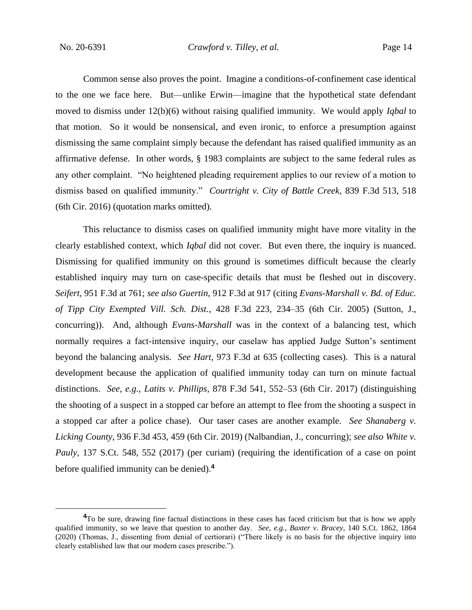Common sense also proves the point. Imagine a conditions-of-confinement case identical to the one we face here. But—unlike Erwin—imagine that the hypothetical state defendant moved to dismiss under 12(b)(6) without raising qualified immunity. We would apply *Iqbal* to that motion. So it would be nonsensical, and even ironic, to enforce a presumption against dismissing the same complaint simply because the defendant has raised qualified immunity as an affirmative defense. In other words, § 1983 complaints are subject to the same federal rules as any other complaint. "No heightened pleading requirement applies to our review of a motion to dismiss based on qualified immunity." *Courtright v. City of Battle Creek*, 839 F.3d 513, 518 (6th Cir. 2016) (quotation marks omitted).

This reluctance to dismiss cases on qualified immunity might have more vitality in the clearly established context, which *Iqbal* did not cover. But even there, the inquiry is nuanced. Dismissing for qualified immunity on this ground is sometimes difficult because the clearly established inquiry may turn on case-specific details that must be fleshed out in discovery. *Seifert*, 951 F.3d at 761; *see also Guertin*, 912 F.3d at 917 (citing *Evans-Marshall v. Bd. of Educ. of Tipp City Exempted Vill. Sch. Dist.*, 428 F.3d 223, 234–35 (6th Cir. 2005) (Sutton, J., concurring)). And, although *Evans-Marshall* was in the context of a balancing test, which normally requires a fact-intensive inquiry, our caselaw has applied Judge Sutton's sentiment beyond the balancing analysis. *See Hart*, 973 F.3d at 635 (collecting cases). This is a natural development because the application of qualified immunity today can turn on minute factual distinctions. *See, e.g.*, *Latits v. Phillips*, 878 F.3d 541, 552–53 (6th Cir. 2017) (distinguishing the shooting of a suspect in a stopped car before an attempt to flee from the shooting a suspect in a stopped car after a police chase). Our taser cases are another example. *See Shanaberg v. Licking County*, 936 F.3d 453, 459 (6th Cir. 2019) (Nalbandian, J., concurring); *see also White v. Pauly*, 137 S.Ct. 548, 552 (2017) (per curiam) (requiring the identification of a case on point before qualified immunity can be denied).**<sup>4</sup>**

**<sup>4</sup>**To be sure, drawing fine factual distinctions in these cases has faced criticism but that is how we apply qualified immunity, so we leave that question to another day. *See, e.g.*, *Baxter v. Bracey*, 140 S.Ct. 1862, 1864 (2020) (Thomas, J., dissenting from denial of certiorari) ("There likely is no basis for the objective inquiry into clearly established law that our modern cases prescribe.").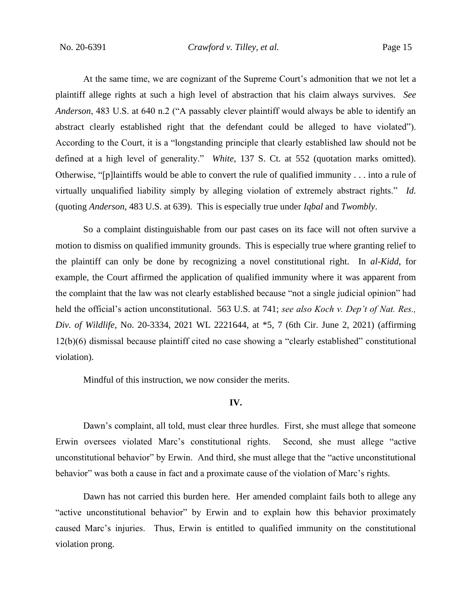No. 20-6391 *Crawford v. Tilley, et al.* Page 15

At the same time, we are cognizant of the Supreme Court's admonition that we not let a plaintiff allege rights at such a high level of abstraction that his claim always survives. *See Anderson*, 483 U.S. at 640 n.2 ("A passably clever plaintiff would always be able to identify an abstract clearly established right that the defendant could be alleged to have violated"). According to the Court, it is a "longstanding principle that clearly established law should not be defined at a high level of generality." *White*, 137 S. Ct. at 552 (quotation marks omitted). Otherwise, "[p]laintiffs would be able to convert the rule of qualified immunity . . . into a rule of virtually unqualified liability simply by alleging violation of extremely abstract rights." *Id.*  (quoting *Anderson*, 483 U.S. at 639). This is especially true under *Iqbal* and *Twombly*.

So a complaint distinguishable from our past cases on its face will not often survive a motion to dismiss on qualified immunity grounds. This is especially true where granting relief to the plaintiff can only be done by recognizing a novel constitutional right. In *al-Kidd*, for example, the Court affirmed the application of qualified immunity where it was apparent from the complaint that the law was not clearly established because "not a single judicial opinion" had held the official's action unconstitutional. 563 U.S. at 741; *see also Koch v. Dep't of Nat. Res., Div. of Wildlife*, No. 20-3334, 2021 WL 2221644, at \*5, 7 (6th Cir. June 2, 2021) (affirming 12(b)(6) dismissal because plaintiff cited no case showing a "clearly established" constitutional violation).

Mindful of this instruction, we now consider the merits.

## **IV.**

Dawn's complaint, all told, must clear three hurdles. First, she must allege that someone Erwin oversees violated Marc's constitutional rights. Second, she must allege "active unconstitutional behavior" by Erwin. And third, she must allege that the "active unconstitutional behavior" was both a cause in fact and a proximate cause of the violation of Marc's rights.

Dawn has not carried this burden here. Her amended complaint fails both to allege any "active unconstitutional behavior" by Erwin and to explain how this behavior proximately caused Marc's injuries. Thus, Erwin is entitled to qualified immunity on the constitutional violation prong.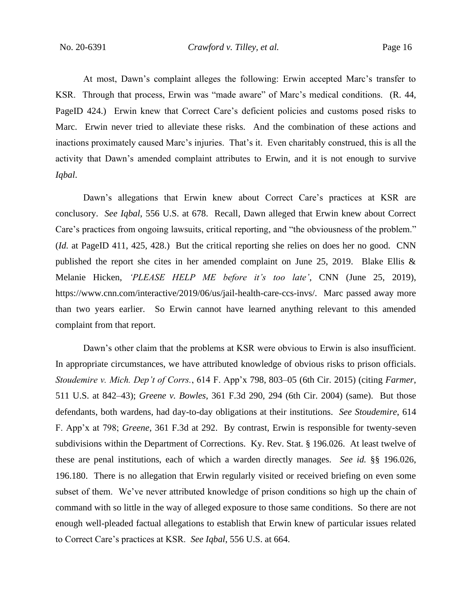At most, Dawn's complaint alleges the following: Erwin accepted Marc's transfer to KSR. Through that process, Erwin was "made aware" of Marc's medical conditions. (R. 44, PageID 424.) Erwin knew that Correct Care's deficient policies and customs posed risks to Marc. Erwin never tried to alleviate these risks. And the combination of these actions and inactions proximately caused Marc's injuries. That's it. Even charitably construed, this is all the activity that Dawn's amended complaint attributes to Erwin, and it is not enough to survive *Iqbal*.

Dawn's allegations that Erwin knew about Correct Care's practices at KSR are conclusory. *See Iqbal*, 556 U.S. at 678. Recall, Dawn alleged that Erwin knew about Correct Care's practices from ongoing lawsuits, critical reporting, and "the obviousness of the problem." (*Id.* at PageID 411, 425, 428.) But the critical reporting she relies on does her no good. CNN published the report she cites in her amended complaint on June 25, 2019. Blake Ellis & Melanie Hicken, *'PLEASE HELP ME before it's too late'*, CNN (June 25, 2019), https://www.cnn.com/interactive/2019/06/us/jail-health-care-ccs-invs/. Marc passed away more than two years earlier. So Erwin cannot have learned anything relevant to this amended complaint from that report.

Dawn's other claim that the problems at KSR were obvious to Erwin is also insufficient. In appropriate circumstances, we have attributed knowledge of obvious risks to prison officials. *Stoudemire v. Mich. Dep't of Corrs.*, 614 F. App'x 798, 803–05 (6th Cir. 2015) (citing *Farmer*, 511 U.S. at 842–43); *Greene v. Bowles*, 361 F.3d 290, 294 (6th Cir. 2004) (same). But those defendants, both wardens, had day-to-day obligations at their institutions. *See Stoudemire*, 614 F. App'x at 798; *Greene*, 361 F.3d at 292. By contrast, Erwin is responsible for twenty-seven subdivisions within the Department of Corrections. Ky. Rev. Stat. § 196.026. At least twelve of these are penal institutions, each of which a warden directly manages. *See id.* §§ 196.026, 196.180. There is no allegation that Erwin regularly visited or received briefing on even some subset of them. We've never attributed knowledge of prison conditions so high up the chain of command with so little in the way of alleged exposure to those same conditions. So there are not enough well-pleaded factual allegations to establish that Erwin knew of particular issues related to Correct Care's practices at KSR. *See Iqbal*, 556 U.S. at 664.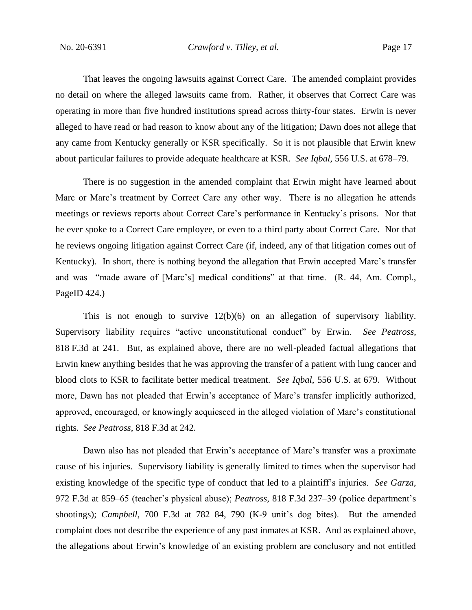That leaves the ongoing lawsuits against Correct Care. The amended complaint provides no detail on where the alleged lawsuits came from. Rather, it observes that Correct Care was operating in more than five hundred institutions spread across thirty-four states. Erwin is never alleged to have read or had reason to know about any of the litigation; Dawn does not allege that any came from Kentucky generally or KSR specifically. So it is not plausible that Erwin knew about particular failures to provide adequate healthcare at KSR. *See Iqbal*, 556 U.S. at 678–79.

There is no suggestion in the amended complaint that Erwin might have learned about Marc or Marc's treatment by Correct Care any other way. There is no allegation he attends meetings or reviews reports about Correct Care's performance in Kentucky's prisons. Nor that he ever spoke to a Correct Care employee, or even to a third party about Correct Care. Nor that he reviews ongoing litigation against Correct Care (if, indeed, any of that litigation comes out of Kentucky). In short, there is nothing beyond the allegation that Erwin accepted Marc's transfer and was "made aware of [Marc's] medical conditions" at that time. (R. 44, Am. Compl., PageID 424.)

This is not enough to survive 12(b)(6) on an allegation of supervisory liability. Supervisory liability requires "active unconstitutional conduct" by Erwin. *See Peatross*, 818 F.3d at 241. But, as explained above, there are no well-pleaded factual allegations that Erwin knew anything besides that he was approving the transfer of a patient with lung cancer and blood clots to KSR to facilitate better medical treatment. *See Iqbal*, 556 U.S. at 679. Without more, Dawn has not pleaded that Erwin's acceptance of Marc's transfer implicitly authorized, approved, encouraged, or knowingly acquiesced in the alleged violation of Marc's constitutional rights. *See Peatross*, 818 F.3d at 242.

Dawn also has not pleaded that Erwin's acceptance of Marc's transfer was a proximate cause of his injuries. Supervisory liability is generally limited to times when the supervisor had existing knowledge of the specific type of conduct that led to a plaintiff's injuries. *See Garza*, 972 F.3d at 859–65 (teacher's physical abuse); *Peatross*, 818 F.3d 237–39 (police department's shootings); *Campbell*, 700 F.3d at 782–84, 790 (K-9 unit's dog bites). But the amended complaint does not describe the experience of any past inmates at KSR. And as explained above, the allegations about Erwin's knowledge of an existing problem are conclusory and not entitled